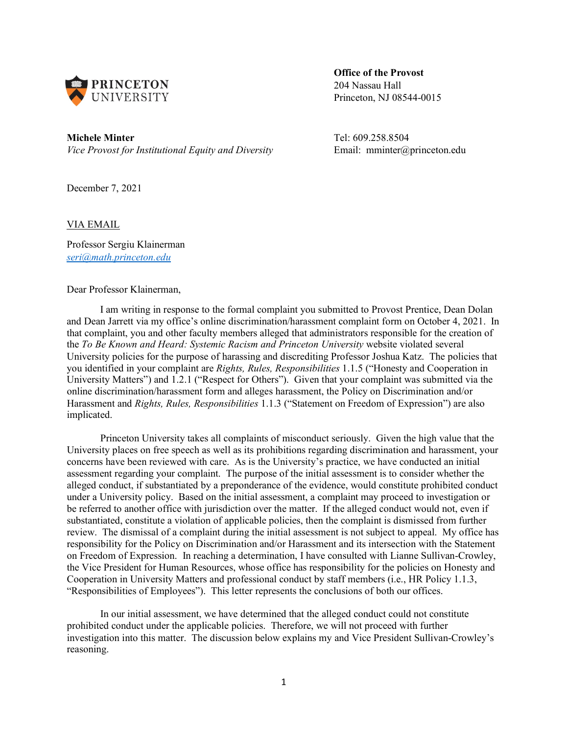

**Office of the Provost** 204 Nassau Hall Princeton, NJ 08544-0015

**Michele Minter** Tel: 609.258.8504 *Vice Provost for Institutional Equity and Diversity* Email: mminter@princeton.edu

December 7, 2021

# VIA EMAIL

Professor Sergiu Klainerman *[seri@math.princeton.edu](mailto:seri@math.princeton.edu)*

Dear Professor Klainerman,

I am writing in response to the formal complaint you submitted to Provost Prentice, Dean Dolan and Dean Jarrett via my office's online discrimination/harassment complaint form on October 4, 2021. In that complaint, you and other faculty members alleged that administrators responsible for the creation of the *To Be Known and Heard: Systemic Racism and Princeton University* website violated several University policies for the purpose of harassing and discrediting Professor Joshua Katz. The policies that you identified in your complaint are *Rights, Rules, Responsibilities* 1.1.5 ("Honesty and Cooperation in University Matters") and 1.2.1 ("Respect for Others"). Given that your complaint was submitted via the online discrimination/harassment form and alleges harassment, the Policy on Discrimination and/or Harassment and *Rights, Rules, Responsibilities* 1.1.3 ("Statement on Freedom of Expression") are also implicated.

Princeton University takes all complaints of misconduct seriously. Given the high value that the University places on free speech as well as its prohibitions regarding discrimination and harassment, your concerns have been reviewed with care. As is the University's practice, we have conducted an initial assessment regarding your complaint. The purpose of the initial assessment is to consider whether the alleged conduct, if substantiated by a preponderance of the evidence, would constitute prohibited conduct under a University policy. Based on the initial assessment, a complaint may proceed to investigation or be referred to another office with jurisdiction over the matter. If the alleged conduct would not, even if substantiated, constitute a violation of applicable policies, then the complaint is dismissed from further review. The dismissal of a complaint during the initial assessment is not subject to appeal. My office has responsibility for the Policy on Discrimination and/or Harassment and its intersection with the Statement on Freedom of Expression. In reaching a determination, I have consulted with Lianne Sullivan-Crowley, the Vice President for Human Resources, whose office has responsibility for the policies on Honesty and Cooperation in University Matters and professional conduct by staff members (i.e., HR Policy 1.1.3, "Responsibilities of Employees"). This letter represents the conclusions of both our offices.

In our initial assessment, we have determined that the alleged conduct could not constitute prohibited conduct under the applicable policies. Therefore, we will not proceed with further investigation into this matter. The discussion below explains my and Vice President Sullivan-Crowley's reasoning.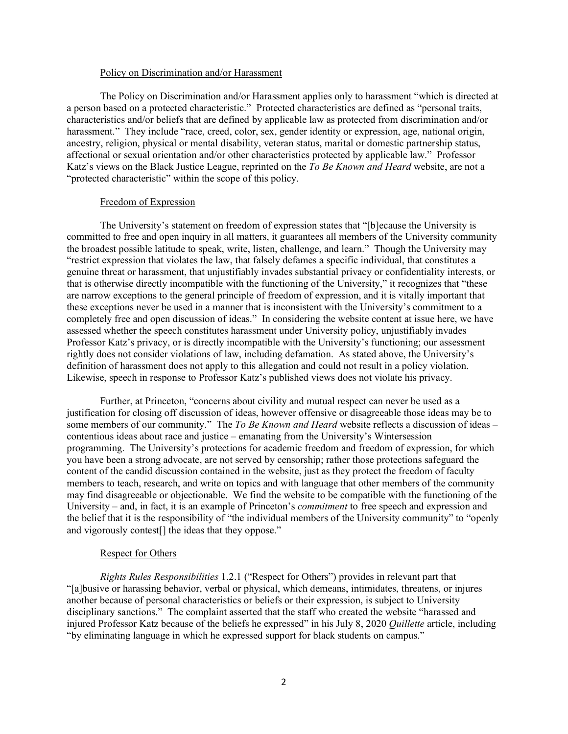### Policy on Discrimination and/or Harassment

The Policy on Discrimination and/or Harassment applies only to harassment "which is directed at a person based on a protected characteristic." Protected characteristics are defined as "personal traits, characteristics and/or beliefs that are defined by applicable law as protected from discrimination and/or harassment." They include "race, creed, color, sex, gender identity or expression, age, national origin, ancestry, religion, physical or mental disability, veteran status, marital or domestic partnership status, affectional or sexual orientation and/or other characteristics protected by applicable law." Professor Katz's views on the Black Justice League, reprinted on the *To Be Known and Heard* website, are not a "protected characteristic" within the scope of this policy.

# Freedom of Expression

The University's statement on freedom of expression states that "[b]ecause the University is committed to free and open inquiry in all matters, it guarantees all members of the University community the broadest possible latitude to speak, write, listen, challenge, and learn." Though the University may "restrict expression that violates the law, that falsely defames a specific individual, that constitutes a genuine threat or harassment, that unjustifiably invades substantial privacy or confidentiality interests, or that is otherwise directly incompatible with the functioning of the University," it recognizes that "these are narrow exceptions to the general principle of freedom of expression, and it is vitally important that these exceptions never be used in a manner that is inconsistent with the University's commitment to a completely free and open discussion of ideas." In considering the website content at issue here, we have assessed whether the speech constitutes harassment under University policy, unjustifiably invades Professor Katz's privacy, or is directly incompatible with the University's functioning; our assessment rightly does not consider violations of law, including defamation. As stated above, the University's definition of harassment does not apply to this allegation and could not result in a policy violation. Likewise, speech in response to Professor Katz's published views does not violate his privacy.

Further, at Princeton, "concerns about civility and mutual respect can never be used as a justification for closing off discussion of ideas, however offensive or disagreeable those ideas may be to some members of our community." The *To Be Known and Heard* website reflects a discussion of ideas – contentious ideas about race and justice – emanating from the University's Wintersession programming. The University's protections for academic freedom and freedom of expression, for which you have been a strong advocate, are not served by censorship; rather those protections safeguard the content of the candid discussion contained in the website, just as they protect the freedom of faculty members to teach, research, and write on topics and with language that other members of the community may find disagreeable or objectionable. We find the website to be compatible with the functioning of the University – and, in fact, it is an example of Princeton's *commitment* to free speech and expression and the belief that it is the responsibility of "the individual members of the University community" to "openly and vigorously contest[] the ideas that they oppose."

## Respect for Others

*Rights Rules Responsibilities* 1.2.1 ("Respect for Others") provides in relevant part that "[a]busive or harassing behavior, verbal or physical, which demeans, intimidates, threatens, or injures another because of personal characteristics or beliefs or their expression, is subject to University disciplinary sanctions." The complaint asserted that the staff who created the website "harassed and injured Professor Katz because of the beliefs he expressed" in his July 8, 2020 *Quillette* article, including "by eliminating language in which he expressed support for black students on campus."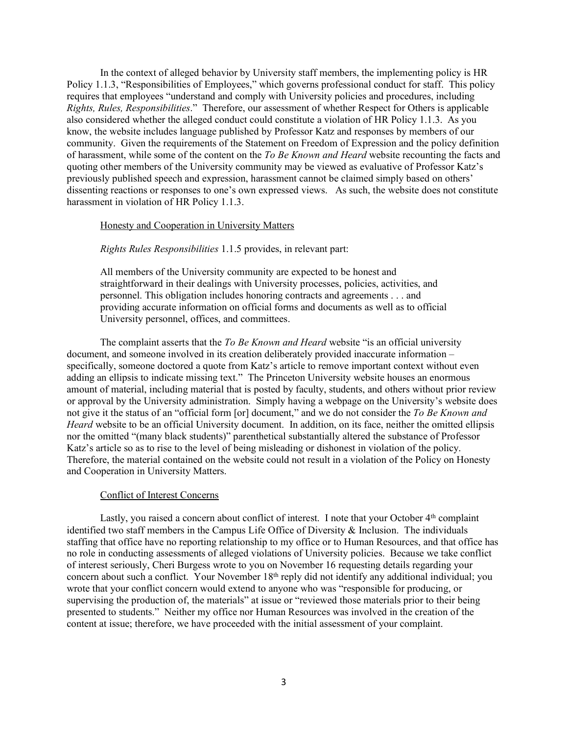In the context of alleged behavior by University staff members, the implementing policy is HR Policy 1.1.3, "Responsibilities of Employees," which governs professional conduct for staff. This policy requires that employees "understand and comply with University policies and procedures, including *Rights, Rules, Responsibilities*." Therefore, our assessment of whether Respect for Others is applicable also considered whether the alleged conduct could constitute a violation of HR Policy 1.1.3. As you know, the website includes language published by Professor Katz and responses by members of our community. Given the requirements of the Statement on Freedom of Expression and the policy definition of harassment, while some of the content on the *To Be Known and Heard* website recounting the facts and quoting other members of the University community may be viewed as evaluative of Professor Katz's previously published speech and expression, harassment cannot be claimed simply based on others' dissenting reactions or responses to one's own expressed views. As such, the website does not constitute harassment in violation of HR Policy 1.1.3.

# Honesty and Cooperation in University Matters

#### *Rights Rules Responsibilities* 1.1.5 provides, in relevant part:

All members of the University community are expected to be honest and straightforward in their dealings with University processes, policies, activities, and personnel. This obligation includes honoring contracts and agreements . . . and providing accurate information on official forms and documents as well as to official University personnel, offices, and committees.

The complaint asserts that the *To Be Known and Heard* website "is an official university document, and someone involved in its creation deliberately provided inaccurate information – specifically, someone doctored a quote from Katz's article to remove important context without even adding an ellipsis to indicate missing text." The Princeton University website houses an enormous amount of material, including material that is posted by faculty, students, and others without prior review or approval by the University administration. Simply having a webpage on the University's website does not give it the status of an "official form [or] document," and we do not consider the *To Be Known and Heard* website to be an official University document. In addition, on its face, neither the omitted ellipsis nor the omitted "(many black students)" parenthetical substantially altered the substance of Professor Katz's article so as to rise to the level of being misleading or dishonest in violation of the policy. Therefore, the material contained on the website could not result in a violation of the Policy on Honesty and Cooperation in University Matters.

## Conflict of Interest Concerns

Lastly, you raised a concern about conflict of interest. I note that your October  $4<sup>th</sup>$  complaint identified two staff members in the Campus Life Office of Diversity & Inclusion. The individuals staffing that office have no reporting relationship to my office or to Human Resources, and that office has no role in conducting assessments of alleged violations of University policies. Because we take conflict of interest seriously, Cheri Burgess wrote to you on November 16 requesting details regarding your concern about such a conflict. Your November 18<sup>th</sup> reply did not identify any additional individual; you wrote that your conflict concern would extend to anyone who was "responsible for producing, or supervising the production of, the materials" at issue or "reviewed those materials prior to their being presented to students." Neither my office nor Human Resources was involved in the creation of the content at issue; therefore, we have proceeded with the initial assessment of your complaint.